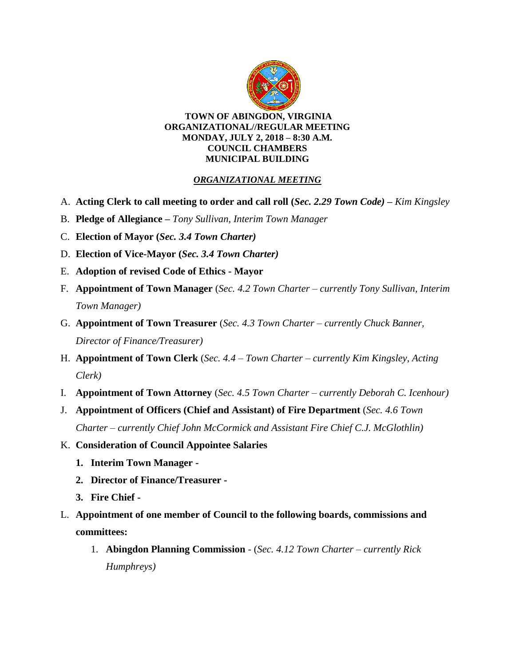

#### **TOWN OF ABINGDON, VIRGINIA ORGANIZATIONAL//REGULAR MEETING MONDAY, JULY 2, 2018 – 8:30 A.M. COUNCIL CHAMBERS MUNICIPAL BUILDING**

# *ORGANIZATIONAL MEETING*

- A. **Acting Clerk to call meeting to order and call roll (***Sec. 2.29 Town Code)* **–** *Kim Kingsley*
- B. **Pledge of Allegiance –** *Tony Sullivan, Interim Town Manager*
- C. **Election of Mayor (***Sec. 3.4 Town Charter)*
- D. **Election of Vice-Mayor (***Sec. 3.4 Town Charter)*
- E. **Adoption of revised Code of Ethics - Mayor**
- F. **Appointment of Town Manager** (*Sec. 4.2 Town Charter – currently Tony Sullivan, Interim Town Manager)*
- G. **Appointment of Town Treasurer** (*Sec. 4.3 Town Charter – currently Chuck Banner, Director of Finance/Treasurer)*
- H. **Appointment of Town Clerk** (*Sec. 4.4 – Town Charter – currently Kim Kingsley, Acting Clerk)*
- I. **Appointment of Town Attorney** (*Sec. 4.5 Town Charter – currently Deborah C. Icenhour)*
- J. **Appointment of Officers (Chief and Assistant) of Fire Department** (*Sec. 4.6 Town Charter – currently Chief John McCormick and Assistant Fire Chief C.J. McGlothlin)*
- K. **Consideration of Council Appointee Salaries** 
	- **1. Interim Town Manager -**
	- **2. Director of Finance/Treasurer -**
	- **3. Fire Chief -**
- L. **Appointment of one member of Council to the following boards, commissions and committees:**
	- 1. **Abingdon Planning Commission**  (*Sec. 4.12 Town Charter – currently Rick Humphreys)*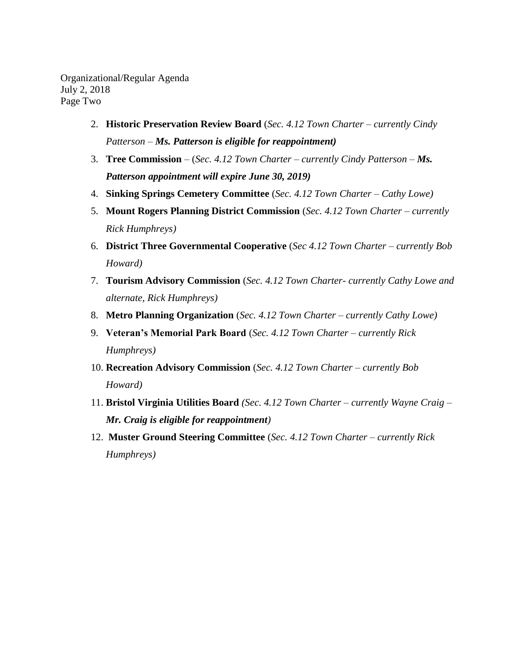Organizational/Regular Agenda July 2, 2018 Page Two

- 2. **Historic Preservation Review Board** (*Sec. 4.12 Town Charter – currently Cindy Patterson – Ms. Patterson is eligible for reappointment)*
- 3. **Tree Commission** (*Sec. 4.12 Town Charter – currently Cindy Patterson – Ms. Patterson appointment will expire June 30, 2019)*
- 4. **Sinking Springs Cemetery Committee** (*Sec. 4.12 Town Charter – Cathy Lowe)*
- 5. **Mount Rogers Planning District Commission** (*Sec. 4.12 Town Charter – currently Rick Humphreys)*
- 6. **District Three Governmental Cooperative** (*Sec 4.12 Town Charter – currently Bob Howard)*
- 7. **Tourism Advisory Commission** (*Sec. 4.12 Town Charter- currently Cathy Lowe and alternate, Rick Humphreys)*
- 8. **Metro Planning Organization** (*Sec. 4.12 Town Charter – currently Cathy Lowe)*
- 9. **Veteran's Memorial Park Board** (*Sec. 4.12 Town Charter – currently Rick Humphreys)*
- 10. **Recreation Advisory Commission** (*Sec. 4.12 Town Charter – currently Bob Howard)*
- 11. **Bristol Virginia Utilities Board** *(Sec. 4.12 Town Charter – currently Wayne Craig – Mr. Craig is eligible for reappointment)*
- 12. **Muster Ground Steering Committee** (*Sec. 4.12 Town Charter – currently Rick Humphreys)*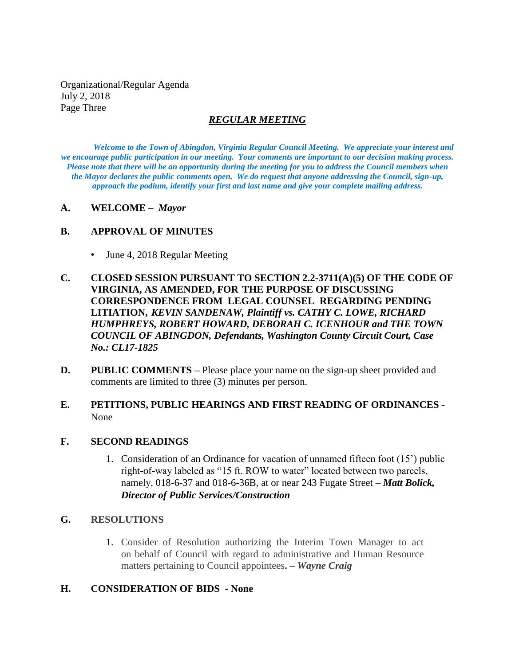Organizational/Regular Agenda July 2, 2018 Page Three

### *REGULAR MEETING*

*Welcome to the Town of Abingdon, Virginia Regular Council Meeting. We appreciate your interest and we encourage public participation in our meeting. Your comments are important to our decision making process. Please note that there will be an opportunity during the meeting for you to address the Council members when the Mayor declares the public comments open. We do request that anyone addressing the Council, sign-up, approach the podium, identify your first and last name and give your complete mailing address.* 

#### **A. WELCOME –** *Mayor*

### **B. APPROVAL OF MINUTES**

- June 4, 2018 Regular Meeting
- **C. CLOSED SESSION PURSUANT TO SECTION 2.2-3711(A)(5) OF THE CODE OF VIRGINIA, AS AMENDED, FOR THE PURPOSE OF DISCUSSING CORRESPONDENCE FROM LEGAL COUNSEL REGARDING PENDING LITIATION,** *KEVIN SANDENAW, Plaintiff vs. CATHY C. LOWE, RICHARD HUMPHREYS, ROBERT HOWARD, DEBORAH C. ICENHOUR and THE TOWN COUNCIL OF ABINGDON, Defendants, Washington County Circuit Court, Case No.: CL17-1825*
- **D. PUBLIC COMMENTS** Please place your name on the sign-up sheet provided and comments are limited to three (3) minutes per person.
- **E. PETITIONS, PUBLIC HEARINGS AND FIRST READING OF ORDINANCES** None

### **F. SECOND READINGS**

1. Consideration of an Ordinance for vacation of unnamed fifteen foot (15') public right-of-way labeled as "15 ft. ROW to water" located between two parcels, namely, 018-6-37 and 018-6-36B, at or near 243 Fugate Street – *Matt Bolick, Director of Public Services/Construction*

### **G. RESOLUTIONS**

1. Consider of Resolution authorizing the Interim Town Manager to act on behalf of Council with regard to administrative and Human Resource matters pertaining to Council appointees**. –** *Wayne Craig*

### **H. CONSIDERATION OF BIDS - None**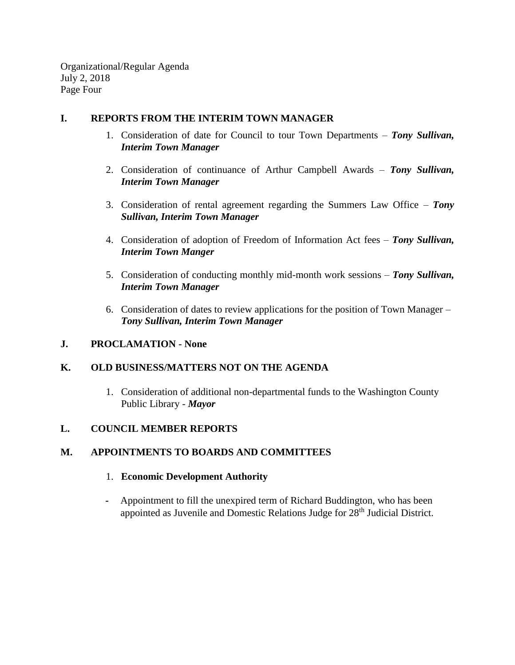Organizational/Regular Agenda July 2, 2018 Page Four

### **I. REPORTS FROM THE INTERIM TOWN MANAGER**

- 1. Consideration of date for Council to tour Town Departments *Tony Sullivan, Interim Town Manager*
- 2. Consideration of continuance of Arthur Campbell Awards *Tony Sullivan, Interim Town Manager*
- 3. Consideration of rental agreement regarding the Summers Law Office *Tony Sullivan, Interim Town Manager*
- 4. Consideration of adoption of Freedom of Information Act fees *Tony Sullivan, Interim Town Manger*
- 5. Consideration of conducting monthly mid-month work sessions *Tony Sullivan, Interim Town Manager*
- 6. Consideration of dates to review applications for the position of Town Manager *Tony Sullivan, Interim Town Manager*

# **J. PROCLAMATION - None**

# **K. OLD BUSINESS/MATTERS NOT ON THE AGENDA**

1. Consideration of additional non-departmental funds to the Washington County Public Library - *Mayor*

# **L. COUNCIL MEMBER REPORTS**

# **M. APPOINTMENTS TO BOARDS AND COMMITTEES**

### 1. **Economic Development Authority**

**-** Appointment to fill the unexpired term of Richard Buddington, who has been appointed as Juvenile and Domestic Relations Judge for 28<sup>th</sup> Judicial District.